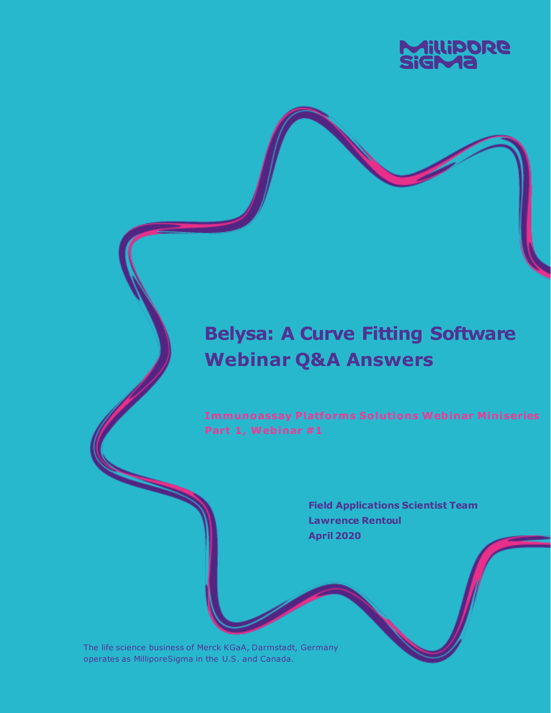

# **Belysa: A Curve Fitting Software Webinar Q&A Answers**

**Immunoassay Platforms Solutions Webinar Miniseries** Part 1, Webinar #1

> **Field Applications Scientist Team Lawrence Rentoul April 2020**

The life science business of Merck KGaA, Darmstadt, Germany operates as MilliporeSigma in the U.S. and Canada.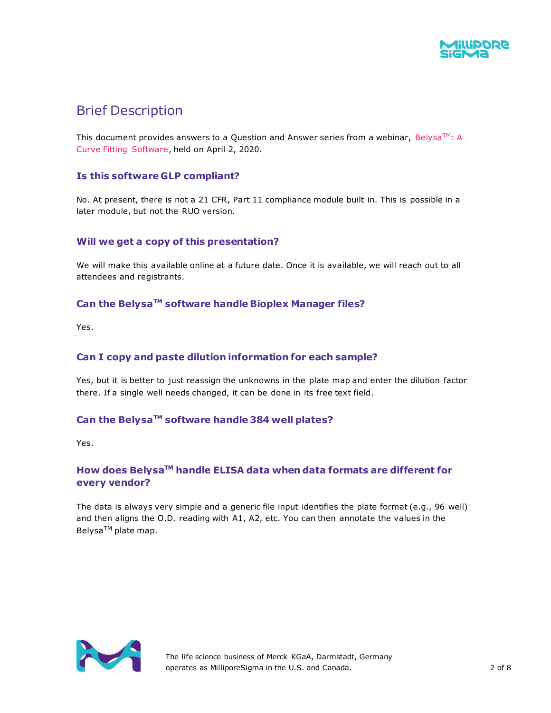

# Brief Description

This document provides answers to a Question and Answer series from a webinar, Belysa $\text{TM}$ : A Curve Fitting Software, held on April 2, 2020.

### **Is this software GLP compliant?**

No. At present, there is not a 21 CFR, Part 11 compliance module built in. This is possible in a later module, but not the RUO version.

#### **Will we get a copy of this presentation?**

We will make this available online at a future date. Once it is available, we will reach out to all attendees and registrants.

# **Can the BelysaTM software handle Bioplex Manager files?**

Yes.

#### **Can I copy and paste dilution information for each sample?**

Yes, but it is better to just reassign the unknowns in the plate map and enter the dilution factor there. If a single well needs changed, it can be done in its free text field.

# **Can the BelysaTM software handle 384 well plates?**

Yes.

# **How does BelysaTM handle ELISA data when data formats are different for every vendor?**

The data is always very simple and a generic file input identifies the plate format (e.g., 96 well) and then aligns the O.D. reading with A1, A2, etc. You can then annotate the values in the Belysa<sup>™</sup> plate map.



The life science business of Merck KGaA, Darmstadt, Germany operates as MilliporeSigma in the U.S. and Canada. 2 of 8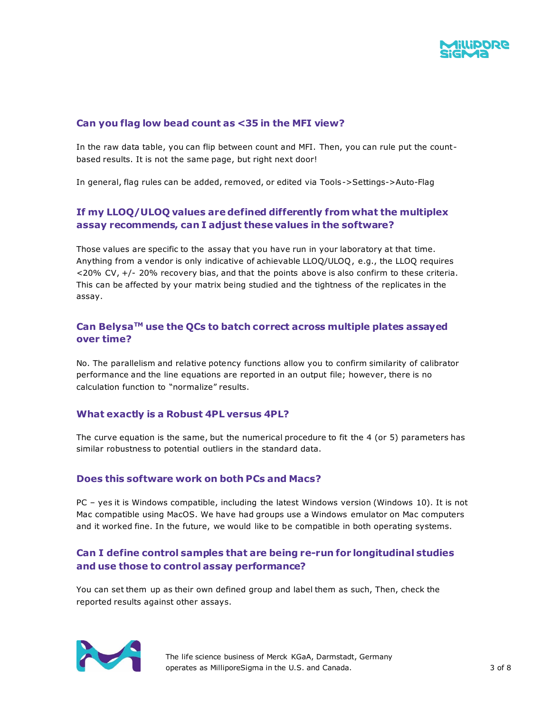

#### **Can you flag low bead count as <35 in the MFI view?**

In the raw data table, you can flip between count and MFI. Then, you can rule put the countbased results. It is not the same page, but right next door!

In general, flag rules can be added, removed, or edited via Tools->Settings->Auto-Flag

# **If my LLOQ/ULOQ values are defined differently from what the multiplex assay recommends, can I adjust these values in the software?**

Those values are specific to the assay that you have run in your laboratory at that time. Anything from a vendor is only indicative of achievable LLOQ/ULOQ, e.g., the LLOQ requires <20% CV, +/- 20% recovery bias, and that the points above is also confirm to these criteria. This can be affected by your matrix being studied and the tightness of the replicates in the assay.

# **Can BelysaTM use the QCs to batch correct across multiple plates assayed over time?**

No. The parallelism and relative potency functions allow you to confirm similarity of calibrator performance and the line equations are reported in an output file; however, there is no calculation function to "normalize" results.

#### **What exactly is a Robust 4PL versus 4PL?**

The curve equation is the same, but the numerical procedure to fit the 4 (or 5) parameters has similar robustness to potential outliers in the standard data.

#### **Does this software work on both PCs and Macs?**

PC – yes it is Windows compatible, including the latest Windows version (Windows 10). It is not Mac compatible using MacOS. We have had groups use a Windows emulator on Mac computers and it worked fine. In the future, we would like to be compatible in both operating systems.

### **Can I define control samples that are being re-run for longitudinal studies and use those to control assay performance?**

You can set them up as their own defined group and label them as such, Then, check the reported results against other assays.



The life science business of Merck KGaA, Darmstadt, Germany operates as MilliporeSigma in the U.S. and Canada. 3 of 8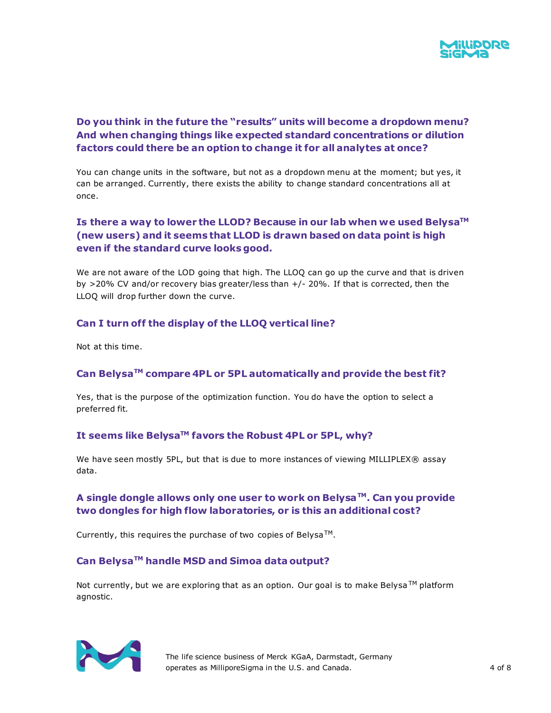

# **Do you think in the future the "results" units will become a dropdown menu? And when changing things like expected standard concentrations or dilution factors could there be an option to change it for all analytes at once?**

You can change units in the software, but not as a dropdown menu at the moment; but yes, it can be arranged. Currently, there exists the ability to change standard concentrations all at once.

# **Is there a way to lower the LLOD? Because in our lab when we used BelysaTM (new users) and it seems that LLOD is drawn based on data point is high even if the standard curve looks good.**

We are not aware of the LOD going that high. The LLOQ can go up the curve and that is driven by >20% CV and/or recovery bias greater/less than +/- 20%. If that is corrected, then the LLOQ will drop further down the curve.

# **Can I turn off the display of the LLOQ vertical line?**

Not at this time.

# **Can BelysaTM compare 4PL or 5PL automatically and provide the best fit?**

Yes, that is the purpose of the optimization function. You do have the option to select a preferred fit.

### **It seems like BelysaTM favors the Robust 4PL or 5PL, why?**

We have seen mostly 5PL, but that is due to more instances of viewing MILLIPLEX® assay data.

# **A single dongle allows only one user to work on BelysaTM. Can you provide two dongles for high flow laboratories, or is this an additional cost?**

Currently, this requires the purchase of two copies of Belysa<sup>TM</sup>.

# **Can BelysaTM handle MSD and Simoa data output?**

Not currently, but we are exploring that as an option. Our goal is to make Belysa  $TM$  platform agnostic.



The life science business of Merck KGaA, Darmstadt, Germany operates as MilliporeSigma in the U.S. and Canada. 4 of 8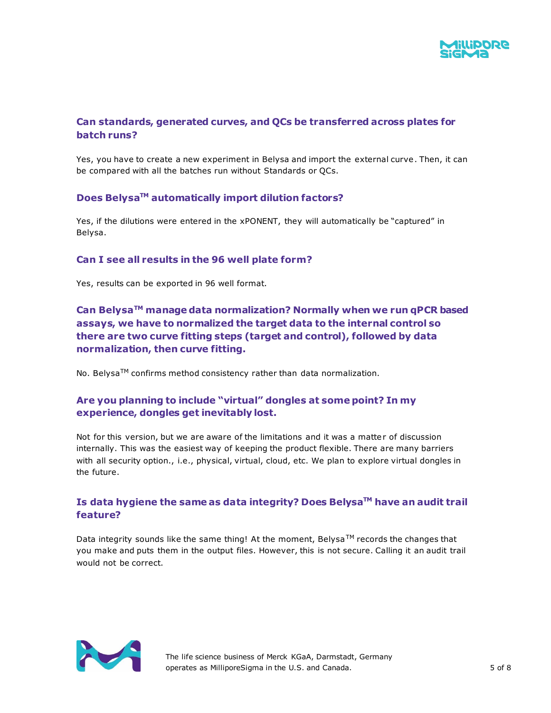

# **Can standards, generated curves, and QCs be transferred across plates for batch runs?**

Yes, you have to create a new experiment in Belysa and import the external curve. Then, it can be compared with all the batches run without Standards or QCs.

#### **Does BelysaTM automatically import dilution factors?**

Yes, if the dilutions were entered in the xPONENT, they will automatically be "captured" in Belysa.

### **Can I see all results in the 96 well plate form?**

Yes, results can be exported in 96 well format.

**Can BelysaTM manage data normalization? Normally when we run qPCR based assays, we have to normalized the target data to the internal control so there are two curve fitting steps (target and control), followed by data normalization, then curve fitting.**

No. Belysa<sup>TM</sup> confirms method consistency rather than data normalization.

### **Are you planning to include "virtual" dongles at some point? In my experience, dongles get inevitably lost.**

Not for this version, but we are aware of the limitations and it was a matter of discussion internally. This was the easiest way of keeping the product flexible. There are many barriers with all security option., i.e., physical, virtual, cloud, etc. We plan to explore virtual dongles in the future.

# **Is data hygiene the same as data integrity? Does BelysaTM have an audit trail feature?**

Data integrity sounds like the same thing! At the moment, Belysa<sup>TM</sup> records the changes that you make and puts them in the output files. However, this is not secure. Calling it an audit trail would not be correct.



The life science business of Merck KGaA, Darmstadt, Germany operates as MilliporeSigma in the U.S. and Canada. 5 of 8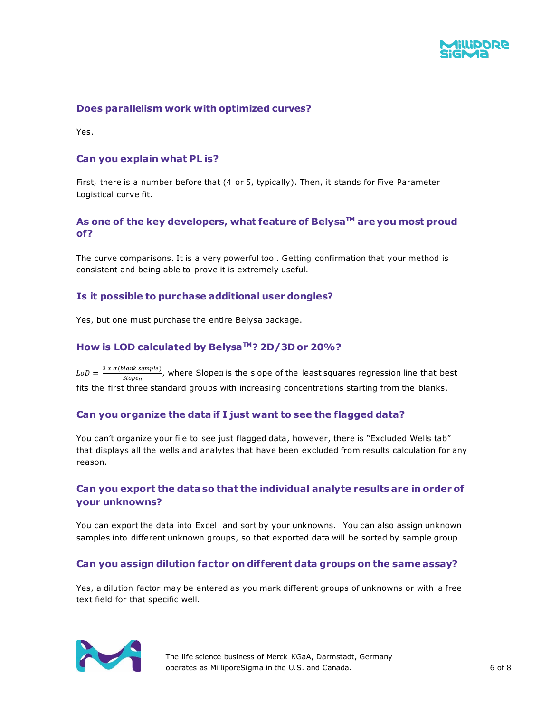

#### **Does parallelism work with optimized curves?**

Yes.

#### **Can you explain what PL is?**

First, there is a number before that (4 or 5, typically). Then, it stands for Five Parameter Logistical curve fit.

### **As one of the key developers, what feature of BelysaTM are you most proud of?**

The curve comparisons. It is a very powerful tool. Getting confirmation that your method is consistent and being able to prove it is extremely useful.

#### **Is it possible to purchase additional user dongles?**

Yes, but one must purchase the entire Belysa package.

#### **How is LOD calculated by BelysaTM? 2D/3D or 20%?**

 $L_0D = \frac{3 x \sigma (blank sample)}{QL}$ , where Slopen is the slope of the least squares regression line that best  $Slope_{II}$ fits the first three standard groups with increasing concentrations starting from the blanks.

#### **Can you organize the data if I just want to see the flagged data?**

You can't organize your file to see just flagged data, however, there is "Excluded Wells tab" that displays all the wells and analytes that have been excluded from results calculation for any reason.

#### **Can you export the data so that the individual analyte results are in order of your unknowns?**

You can export the data into Excel and sort by your unknowns. You can also assign unknown samples into different unknown groups, so that exported data will be sorted by sample group

#### **Can you assign dilution factor on different data groups on the same assay?**

Yes, a dilution factor may be entered as you mark different groups of unknowns or with a free text field for that specific well.



The life science business of Merck KGaA, Darmstadt, Germany operates as MilliporeSigma in the U.S. and Canada. 6 of 8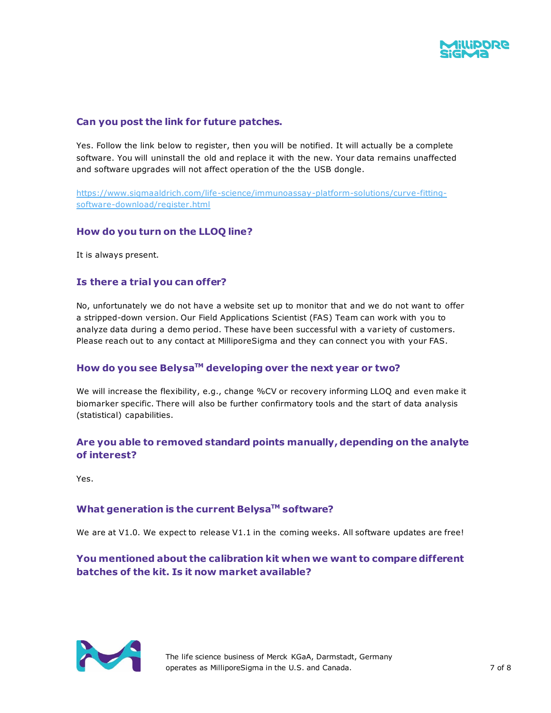

# **Can you post the link for future patches.**

Yes. Follow the link below to register, then you will be notified. It will actually be a complete software. You will uninstall the old and replace it with the new. Your data remains unaffected and software upgrades will not affect operation of the the USB dongle.

[https://www.sigmaaldrich.com/life-science/immunoassay-platform-solutions/curve-fitting](https://www.sigmaaldrich.com/life-science/immunoassay-platform-solutions/curve-fitting-software-download/register.html)[software-download/register.html](https://www.sigmaaldrich.com/life-science/immunoassay-platform-solutions/curve-fitting-software-download/register.html)

#### **How do you turn on the LLOQ line?**

It is always present.

### **Is there a trial you can offer?**

No, unfortunately we do not have a website set up to monitor that and we do not want to offer a stripped-down version. Our Field Applications Scientist (FAS) Team can work with you to analyze data during a demo period. These have been successful with a var iety of customers. Please reach out to any contact at MilliporeSigma and they can connect you with your FAS.

# **How do you see BelysaTM developing over the next year or two?**

We will increase the flexibility, e.g., change %CV or recovery informing LLOQ and even make it biomarker specific. There will also be further confirmatory tools and the start of data analysis (statistical) capabilities.

# **Are you able to removed standard points manually, depending on the analyte of interest?**

Yes.

#### **What generation is the current BelysaTM software?**

We are at V1.0. We expect to release V1.1 in the coming weeks. All software updates are free!

# **You mentioned about the calibration kit when we want to compare different batches of the kit. Is it now market available?**



The life science business of Merck KGaA, Darmstadt, Germany operates as MilliporeSigma in the U.S. and Canada.  $\qquad \qquad$  7 of 8